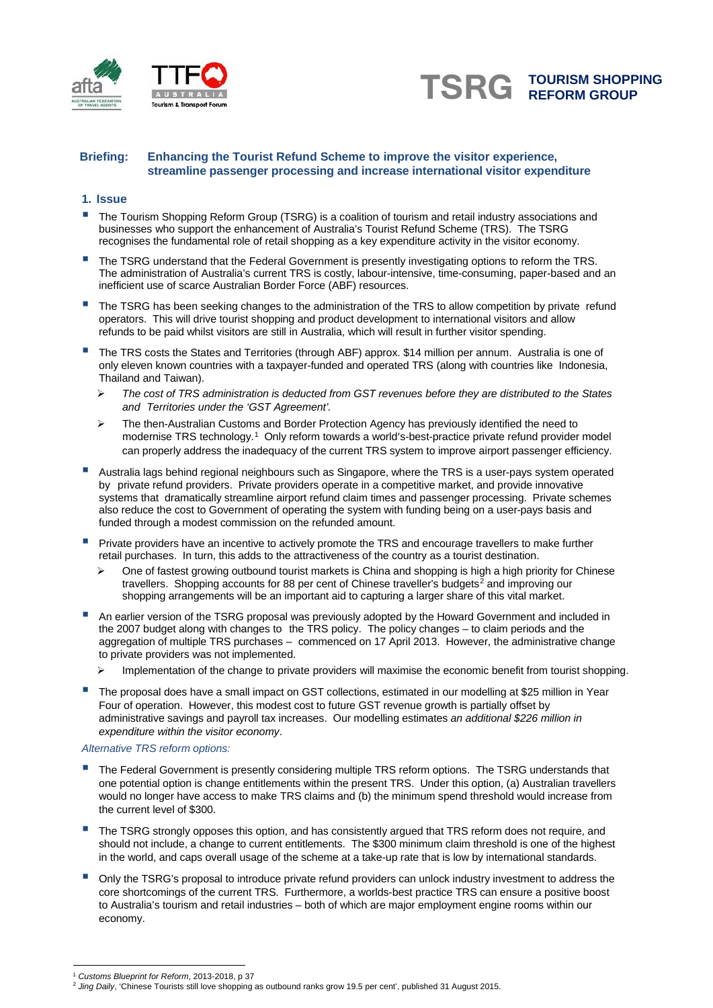



## **Briefing: Enhancing the Tourist Refund Scheme to improve the visitor experience, streamline passenger processing and increase international visitor expenditure**

#### **1. Issue**

- The Tourism Shopping Reform Group (TSRG) is <sup>a</sup> coalition of tourism and retail industry associations and businesses who support the enhancement of Australia's Tourist Refund Scheme (TRS). The TSRG recognises the fundamental role of retail shopping as a key expenditure activity in the visitor economy.
- The TSRG understand that the Federal Government is presently investigating options to reform the TRS. The administration of Australia's current TRS is costly, labour-intensive, time-consuming, paper-based and an inefficient use of scarce Australian Border Force (ABF) resources.
- The TSRG has been seeking changes to the administration of the TRS to allow competition by private refund operators. This will drive tourist shopping and product development to international visitors and allow refunds to be paid whilst visitors are still in Australia, which will result in further visitor spending.
- The TRS costs the States and Territories (through ABF) approx. \$14 million per annum. Australia is one of only eleven known countries with a taxpayer-funded and operated TRS (along with countries like Indonesia, Thailand and Taiwan).
	- *The cost of TRS administration is deducted from GST revenues before they are distributed to the States and Territories under the 'GST Agreement'.*
	- $\triangleright$  The then-Australian Customs and Border Protection Agency has previously identified the need to modernise TRS technology. [1](#page-0-0) Only reform towards a world's-best-practice private refund provider model can properly address the inadequacy of the current TRS system to improve airport passenger efficiency.
- Australia lags behind regional neighbours such as Singapore, where the TRS is a user-pays system operated by private refund providers. Private providers operate in a competitive market, and provide innovative systems that dramatically streamline airport refund claim times and passenger processing. Private schemes also reduce the cost to Government of operating the system with funding being on a user-pays basis and funded through a modest commission on the refunded amount.
- Private providers have an incentive to actively promote the TRS and encourage travellers to make further retail purchases. In turn, this adds to the attractiveness of the country as a tourist destination.
	- One of fastest growing outbound tourist markets is China and shopping is high a high priority for Chinese travellers. Shopping accounts for 88 per cent of Chinese traveller's budgets<sup>[2](#page-0-1)</sup> and improving our shopping arrangements will be an important aid to capturing a larger share of this vital market.
- An earlier version of the TSRG proposal was previously adopted by the Howard Government and included in the 2007 budget along with changes to the TRS policy. The policy changes – to claim periods and the aggregation of multiple TRS purchases – commenced on 17 April 2013. However, the administrative change to private providers was not implemented.
	- Implementation of the change to private providers will maximise the economic benefit from tourist shopping.
- The proposal does have a small impact on GST collections, estimated in our modelling at \$25 million in Year Four of operation. However, this modest cost to future GST revenue growth is partially offset by administrative savings and payroll tax increases. Our modelling estimates *an additional \$226 million in expenditure within the visitor economy*.

#### *Alternative TRS reform options:*

- The Federal Government is presently considering multiple TRS reform options. The TSRG understands that one potential option is change entitlements within the present TRS. Under this option, (a) Australian travellers would no longer have access to make TRS claims and (b) the minimum spend threshold would increase from the current level of \$300.
- The TSRG strongly opposes this option, and has consistently argued that TRS reform does not require, and should not include, a change to current entitlements. The \$300 minimum claim threshold is one of the highest in the world, and caps overall usage of the scheme at a take-up rate that is low by international standards.
- Only the TSRG's proposal to introduce private refund providers can unlock industry investment to address the core shortcomings of the current TRS. Furthermore, a worlds-best practice TRS can ensure a positive boost to Australia's tourism and retail industries – both of which are major employment engine rooms within our economy.

 $\overline{a}$ <sup>1</sup> *Customs Blueprint for Reform*, 2013-2018, p 37

<span id="page-0-1"></span><span id="page-0-0"></span><sup>2</sup> *Jing Daily*, 'Chinese Tourists still love shopping as outbound ranks grow 19.5 per cent', published 31 August 2015.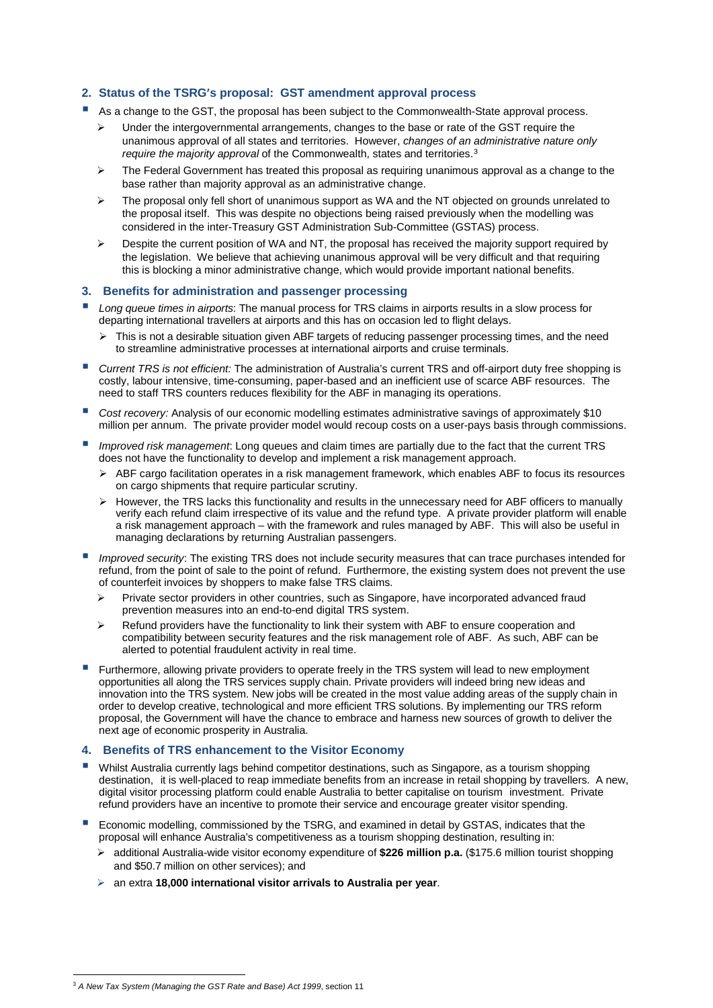# **2. Status of the TSRG's proposal: GST amendment approval process**

- As a change to the GST, the proposal has been subject to the Commonwealth-State approval process.
	- Under the intergovernmental arrangements, changes to the base or rate of the GST require the unanimous approval of all states and territories. However, *changes of an administrative nature only require the majority approval* of the Commonwealth, states and territories.[3](#page-1-0)
	- The Federal Government has treated this proposal as requiring unanimous approval as a change to the base rather than majority approval as an administrative change.
	- The proposal only fell short of unanimous support as WA and the NT objected on grounds unrelated to the proposal itself. This was despite no objections being raised previously when the modelling was considered in the inter-Treasury GST Administration Sub-Committee (GSTAS) process.
	- $\triangleright$  Despite the current position of WA and NT, the proposal has received the majority support required by the legislation. We believe that achieving unanimous approval will be very difficult and that requiring this is blocking a minor administrative change, which would provide important national benefits.

### **3. Benefits for administration and passenger processing**

- *Long queue times in airports*: The manual process for TRS claims in airports results in a slow process for departing international travellers at airports and this has on occasion led to flight delays.
	- $\triangleright$  This is not a desirable situation given ABF targets of reducing passenger processing times, and the need to streamline administrative processes at international airports and cruise terminals.
- *Current TRS is not efficient:* The administration of Australia's current TRS and off-airport duty free shopping is costly, labour intensive, time-consuming, paper-based and an inefficient use of scarce ABF resources. The need to staff TRS counters reduces flexibility for the ABF in managing its operations.
- *Cost recovery:* Analysis of our economic modelling estimates administrative savings of approximately \$10 million per annum. The private provider model would recoup costs on a user-pays basis through commissions.
- *Improved risk management*: Long queues and claim times are partially due to the fact that the current TRS does not have the functionality to develop and implement a risk management approach.
	- $\triangleright$  ABF cargo facilitation operates in a risk management framework, which enables ABF to focus its resources on cargo shipments that require particular scrutiny.
	- $\triangleright$  However, the TRS lacks this functionality and results in the unnecessary need for ABF officers to manually verify each refund claim irrespective of its value and the refund type. A private provider platform will enable a risk management approach – with the framework and rules managed by ABF. This will also be useful in managing declarations by returning Australian passengers.
- *Improved security*: The existing TRS does not include security measures that can trace purchases intended for refund, from the point of sale to the point of refund. Furthermore, the existing system does not prevent the use of counterfeit invoices by shoppers to make false TRS claims.
	- $\triangleright$  Private sector providers in other countries, such as Singapore, have incorporated advanced fraud prevention measures into an end-to-end digital TRS system.
	- Refund providers have the functionality to link their system with ABF to ensure cooperation and compatibility between security features and the risk management role of ABF. As such, ABF can be alerted to potential fraudulent activity in real time.
- Furthermore, allowing private providers to operate freely in the TRS system will lead to new employment opportunities all along the TRS services supply chain. Private providers will indeed bring new ideas and innovation into the TRS system. New jobs will be created in the most value adding areas of the supply chain in order to develop creative, technological and more efficient TRS solutions. By implementing our TRS reform proposal, the Government will have the chance to embrace and harness new sources of growth to deliver the next age of economic prosperity in Australia.

## **4. Benefits of TRS enhancement to the Visitor Economy**

- Whilst Australia currently lags behind competitor destinations, such as Singapore, as a tourism shopping destination, it is well-placed to reap immediate benefits from an increase in retail shopping by travellers. A new, digital visitor processing platform could enable Australia to better capitalise on tourism investment. Private refund providers have an incentive to promote their service and encourage greater visitor spending.
- Economic modelling, commissioned by the TSRG, and examined in detail by GSTAS, indicates that the proposal will enhance Australia's competitiveness as a tourism shopping destination, resulting in:
	- additional Australia-wide visitor economy expenditure of **\$226 million p.a.** (\$175.6 million tourist shopping and \$50.7 million on other services); and
	- an extra **18,000 international visitor arrivals to Australia per year**.

 $\overline{a}$ 

<span id="page-1-0"></span><sup>3</sup> *A New Tax System (Managing the GST Rate and Base) Act 1999*, section 11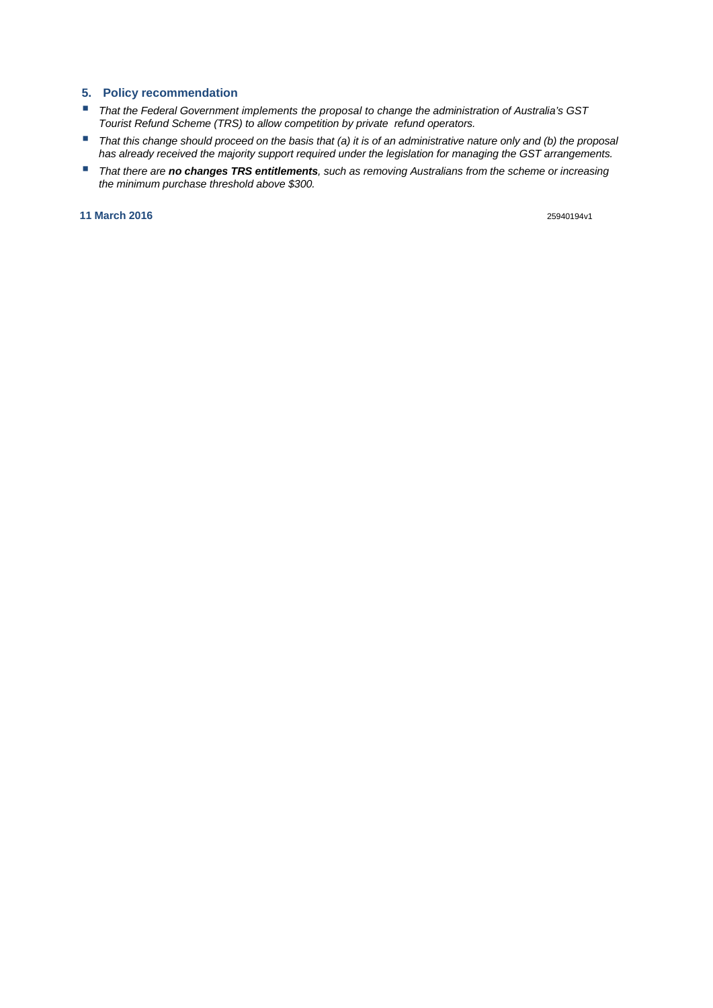# **5. Policy recommendation**

- *That the Federal Government implements the proposal to change the administration of Australia's GST Tourist Refund Scheme (TRS) to allow competition by private refund operators.*
- *That this change should proceed on the basis that (a) it is of an administrative nature only and (b) the proposal has already received the majority support required under the legislation for managing the GST arrangements.*
- *That there are no changes TRS entitlements, such as removing Australians from the scheme or increasing the minimum purchase threshold above \$300.*

**11 March 2016** 25940194v1